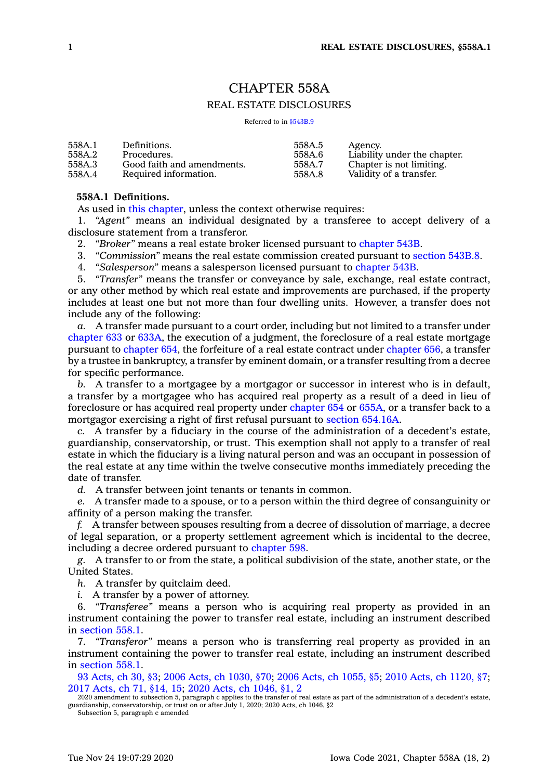# CHAPTER 558A

# REAL ESTATE DISCLOSURES

Referred to in [§543B.9](https://www.legis.iowa.gov/docs/code/543B.9.pdf)

| 558A.1 | Definitions.               | 558A.5 | Agency.                      |
|--------|----------------------------|--------|------------------------------|
| 558A.2 | Procedures.                | 558A.6 | Liability under the chapter. |
| 558A.3 | Good faith and amendments. | 558A.7 | Chapter is not limiting.     |
| 558A.4 | Required information.      | 558A.8 | Validity of a transfer.      |

# **558A.1 Definitions.**

As used in this [chapter](https://www.legis.iowa.gov/docs/code//558A.pdf), unless the context otherwise requires:

1. *"Agent"* means an individual designated by <sup>a</sup> transferee to accept delivery of <sup>a</sup> disclosure statement from <sup>a</sup> transferor.

2. *"Broker"* means <sup>a</sup> real estate broker licensed pursuant to [chapter](https://www.legis.iowa.gov/docs/code//543B.pdf) 543B.

3. *"Commission"* means the real estate commission created pursuant to [section](https://www.legis.iowa.gov/docs/code/543B.8.pdf) 543B.8.

4. *"Salesperson"* means <sup>a</sup> salesperson licensed pursuant to [chapter](https://www.legis.iowa.gov/docs/code//543B.pdf) 543B.

5. *"Transfer"* means the transfer or conveyance by sale, exchange, real estate contract, or any other method by which real estate and improvements are purchased, if the property includes at least one but not more than four dwelling units. However, <sup>a</sup> transfer does not include any of the following:

*a.* A transfer made pursuant to <sup>a</sup> court order, including but not limited to <sup>a</sup> transfer under [chapter](https://www.legis.iowa.gov/docs/code//633.pdf) 633 or [633A](https://www.legis.iowa.gov/docs/code//633A.pdf), the execution of <sup>a</sup> judgment, the foreclosure of <sup>a</sup> real estate mortgage pursuant to [chapter](https://www.legis.iowa.gov/docs/code//654.pdf) 654, the forfeiture of <sup>a</sup> real estate contract under [chapter](https://www.legis.iowa.gov/docs/code//656.pdf) 656, <sup>a</sup> transfer by <sup>a</sup> trustee in bankruptcy, <sup>a</sup> transfer by eminent domain, or <sup>a</sup> transfer resulting from <sup>a</sup> decree for specific performance.

*b.* A transfer to <sup>a</sup> mortgagee by <sup>a</sup> mortgagor or successor in interest who is in default, <sup>a</sup> transfer by <sup>a</sup> mortgagee who has acquired real property as <sup>a</sup> result of <sup>a</sup> deed in lieu of foreclosure or has acquired real property under [chapter](https://www.legis.iowa.gov/docs/code//654.pdf) 654 or [655A](https://www.legis.iowa.gov/docs/code//655A.pdf), or <sup>a</sup> transfer back to <sup>a</sup> mortgagor exercising <sup>a</sup> right of first refusal pursuant to section [654.16A](https://www.legis.iowa.gov/docs/code/654.16A.pdf).

*c.* A transfer by <sup>a</sup> fiduciary in the course of the administration of <sup>a</sup> decedent's estate, guardianship, conservatorship, or trust. This exemption shall not apply to <sup>a</sup> transfer of real estate in which the fiduciary is <sup>a</sup> living natural person and was an occupant in possession of the real estate at any time within the twelve consecutive months immediately preceding the date of transfer.

*d.* A transfer between joint tenants or tenants in common.

*e.* A transfer made to <sup>a</sup> spouse, or to <sup>a</sup> person within the third degree of consanguinity or affinity of <sup>a</sup> person making the transfer.

*f.* A transfer between spouses resulting from <sup>a</sup> decree of dissolution of marriage, <sup>a</sup> decree of legal separation, or <sup>a</sup> property settlement agreement which is incidental to the decree, including <sup>a</sup> decree ordered pursuant to [chapter](https://www.legis.iowa.gov/docs/code//598.pdf) 598.

*g.* A transfer to or from the state, <sup>a</sup> political subdivision of the state, another state, or the United States.

*h.* A transfer by quitclaim deed.

*i.* A transfer by <sup>a</sup> power of attorney.

6. *"Transferee"* means <sup>a</sup> person who is acquiring real property as provided in an instrument containing the power to transfer real estate, including an instrument described in [section](https://www.legis.iowa.gov/docs/code/558.1.pdf) 558.1.

7. *"Transferor"* means <sup>a</sup> person who is transferring real property as provided in an instrument containing the power to transfer real estate, including an instrument described in [section](https://www.legis.iowa.gov/docs/code/558.1.pdf) 558.1.

93 [Acts,](https://www.legis.iowa.gov/docs/acts/1993/CH0030.pdf) ch 30, §3; 2006 Acts, ch [1030,](https://www.legis.iowa.gov/docs/acts/2006/CH1030.pdf) §70; 2006 Acts, ch [1055,](https://www.legis.iowa.gov/docs/acts/2006/CH1055.pdf) §5; 2010 Acts, ch [1120,](https://www.legis.iowa.gov/docs/acts/2010/CH1120.pdf) §7; 2017 [Acts,](https://www.legis.iowa.gov/docs/acts/2017/CH0071.pdf) ch 71, §14, 15; 2020 Acts, ch [1046,](https://www.legis.iowa.gov/docs/acts/2020/CH1046.pdf) §1, 2

2020 amendment to subsection 5, paragraph c applies to the transfer of real estate as part of the administration of a decedent's estate<br>guardianship, conservatorship, or trust on or after July 1, 2020; 2020 Acts, ch 1046,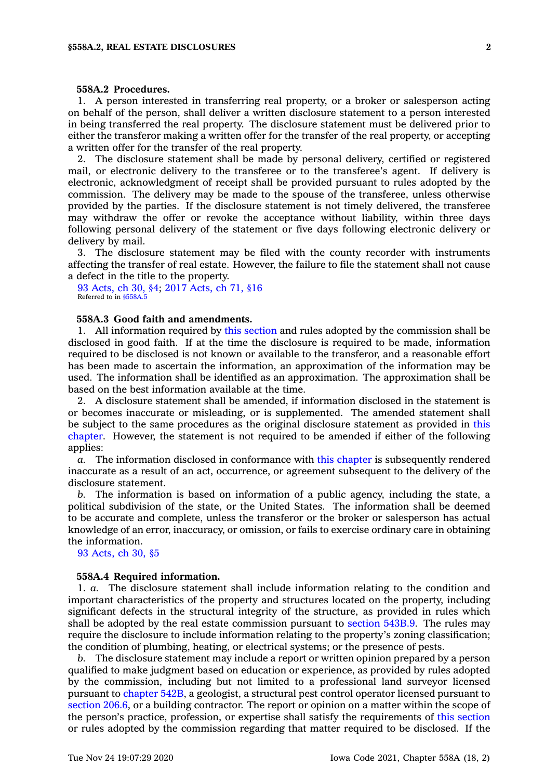#### **558A.2 Procedures.**

1. A person interested in transferring real property, or <sup>a</sup> broker or salesperson acting on behalf of the person, shall deliver <sup>a</sup> written disclosure statement to <sup>a</sup> person interested in being transferred the real property. The disclosure statement must be delivered prior to either the transferor making <sup>a</sup> written offer for the transfer of the real property, or accepting <sup>a</sup> written offer for the transfer of the real property.

2. The disclosure statement shall be made by personal delivery, certified or registered mail, or electronic delivery to the transferee or to the transferee's agent. If delivery is electronic, acknowledgment of receipt shall be provided pursuant to rules adopted by the commission. The delivery may be made to the spouse of the transferee, unless otherwise provided by the parties. If the disclosure statement is not timely delivered, the transferee may withdraw the offer or revoke the acceptance without liability, within three days following personal delivery of the statement or five days following electronic delivery or delivery by mail.

3. The disclosure statement may be filed with the county recorder with instruments affecting the transfer of real estate. However, the failure to file the statement shall not cause <sup>a</sup> defect in the title to the property.

93 [Acts,](https://www.legis.iowa.gov/docs/acts/1993/CH0030.pdf) ch 30, §4; 2017 [Acts,](https://www.legis.iowa.gov/docs/acts/2017/CH0071.pdf) ch 71, §16 Referred to in [§558A.5](https://www.legis.iowa.gov/docs/code/558A.5.pdf)

## **558A.3 Good faith and amendments.**

1. All information required by this [section](https://www.legis.iowa.gov/docs/code/558A.3.pdf) and rules adopted by the commission shall be disclosed in good faith. If at the time the disclosure is required to be made, information required to be disclosed is not known or available to the transferor, and <sup>a</sup> reasonable effort has been made to ascertain the information, an approximation of the information may be used. The information shall be identified as an approximation. The approximation shall be based on the best information available at the time.

2. A disclosure statement shall be amended, if information disclosed in the statement is or becomes inaccurate or misleading, or is supplemented. The amended statement shall be subject to the same procedures as the original disclosure statement as provided in [this](https://www.legis.iowa.gov/docs/code//558A.pdf) [chapter](https://www.legis.iowa.gov/docs/code//558A.pdf). However, the statement is not required to be amended if either of the following applies:

*a.* The information disclosed in conformance with this [chapter](https://www.legis.iowa.gov/docs/code//558A.pdf) is subsequently rendered inaccurate as <sup>a</sup> result of an act, occurrence, or agreement subsequent to the delivery of the disclosure statement.

*b.* The information is based on information of <sup>a</sup> public agency, including the state, <sup>a</sup> political subdivision of the state, or the United States. The information shall be deemed to be accurate and complete, unless the transferor or the broker or salesperson has actual knowledge of an error, inaccuracy, or omission, or fails to exercise ordinary care in obtaining the information.

93 [Acts,](https://www.legis.iowa.gov/docs/acts/1993/CH0030.pdf) ch 30, §5

#### **558A.4 Required information.**

1. *a.* The disclosure statement shall include information relating to the condition and important characteristics of the property and structures located on the property, including significant defects in the structural integrity of the structure, as provided in rules which shall be adopted by the real estate commission pursuant to [section](https://www.legis.iowa.gov/docs/code/543B.9.pdf) 543B.9. The rules may require the disclosure to include information relating to the property's zoning classification; the condition of plumbing, heating, or electrical systems; or the presence of pests.

*b.* The disclosure statement may include <sup>a</sup> report or written opinion prepared by <sup>a</sup> person qualified to make judgment based on education or experience, as provided by rules adopted by the commission, including but not limited to <sup>a</sup> professional land surveyor licensed pursuant to [chapter](https://www.legis.iowa.gov/docs/code//542B.pdf) 542B, <sup>a</sup> geologist, <sup>a</sup> structural pest control operator licensed pursuant to [section](https://www.legis.iowa.gov/docs/code/206.6.pdf) 206.6, or <sup>a</sup> building contractor. The report or opinion on <sup>a</sup> matter within the scope of the person's practice, profession, or expertise shall satisfy the requirements of this [section](https://www.legis.iowa.gov/docs/code/558A.4.pdf) or rules adopted by the commission regarding that matter required to be disclosed. If the